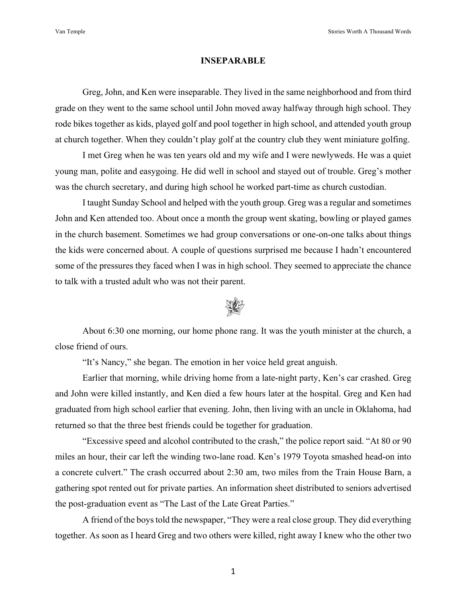## **INSEPARABLE**

Greg, John, and Ken were inseparable. They lived in the same neighborhood and from third grade on they went to the same school until John moved away halfway through high school. They rode bikes together as kids, played golf and pool together in high school, and attended youth group at church together. When they couldn't play golf at the country club they went miniature golfing.

I met Greg when he was ten years old and my wife and I were newlyweds. He was a quiet young man, polite and easygoing. He did well in school and stayed out of trouble. Greg's mother was the church secretary, and during high school he worked part-time as church custodian.

I taught Sunday School and helped with the youth group. Greg was a regular and sometimes John and Ken attended too. About once a month the group went skating, bowling or played games in the church basement. Sometimes we had group conversations or one-on-one talks about things the kids were concerned about. A couple of questions surprised me because I hadn't encountered some of the pressures they faced when I was in high school. They seemed to appreciate the chance to talk with a trusted adult who was not their parent.



About 6:30 one morning, our home phone rang. It was the youth minister at the church, a close friend of ours.

"It's Nancy," she began. The emotion in her voice held great anguish.

Earlier that morning, while driving home from a late-night party, Ken's car crashed. Greg and John were killed instantly, and Ken died a few hours later at the hospital. Greg and Ken had graduated from high school earlier that evening. John, then living with an uncle in Oklahoma, had returned so that the three best friends could be together for graduation.

"Excessive speed and alcohol contributed to the crash," the police report said. "At 80 or 90 miles an hour, their car left the winding two-lane road. Ken's 1979 Toyota smashed head-on into a concrete culvert." The crash occurred about 2:30 am, two miles from the Train House Barn, a gathering spot rented out for private parties. An information sheet distributed to seniors advertised the post-graduation event as "The Last of the Late Great Parties."

A friend of the boys told the newspaper, "They were a real close group. They did everything together. As soon as I heard Greg and two others were killed, right away I knew who the other two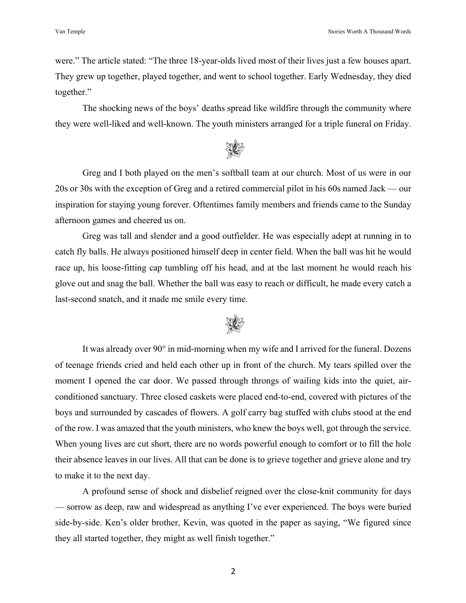were." The article stated: "The three 18-year-olds lived most of their lives just a few houses apart. They grew up together, played together, and went to school together. Early Wednesday, they died together."

The shocking news of the boys' deaths spread like wildfire through the community where they were well-liked and well-known. The youth ministers arranged for a triple funeral on Friday.



Greg and I both played on the men's softball team at our church. Most of us were in our 20s or 30s with the exception of Greg and a retired commercial pilot in his 60s named Jack — our inspiration for staying young forever. Oftentimes family members and friends came to the Sunday afternoon games and cheered us on.

Greg was tall and slender and a good outfielder. He was especially adept at running in to catch fly balls. He always positioned himself deep in center field. When the ball was hit he would race up, his loose-fitting cap tumbling off his head, and at the last moment he would reach his glove out and snag the ball. Whether the ball was easy to reach or difficult, he made every catch a last-second snatch, and it made me smile every time.



It was already over 90° in mid-morning when my wife and I arrived for the funeral. Dozens of teenage friends cried and held each other up in front of the church. My tears spilled over the moment I opened the car door. We passed through throngs of wailing kids into the quiet, airconditioned sanctuary. Three closed caskets were placed end-to-end, covered with pictures of the boys and surrounded by cascades of flowers. A golf carry bag stuffed with clubs stood at the end of the row. I was amazed that the youth ministers, who knew the boys well, got through the service. When young lives are cut short, there are no words powerful enough to comfort or to fill the hole their absence leaves in our lives. All that can be done is to grieve together and grieve alone and try to make it to the next day.

A profound sense of shock and disbelief reigned over the close-knit community for days — sorrow as deep, raw and widespread as anything I've ever experienced. The boys were buried side-by-side. Ken's older brother, Kevin, was quoted in the paper as saying, "We figured since they all started together, they might as well finish together."